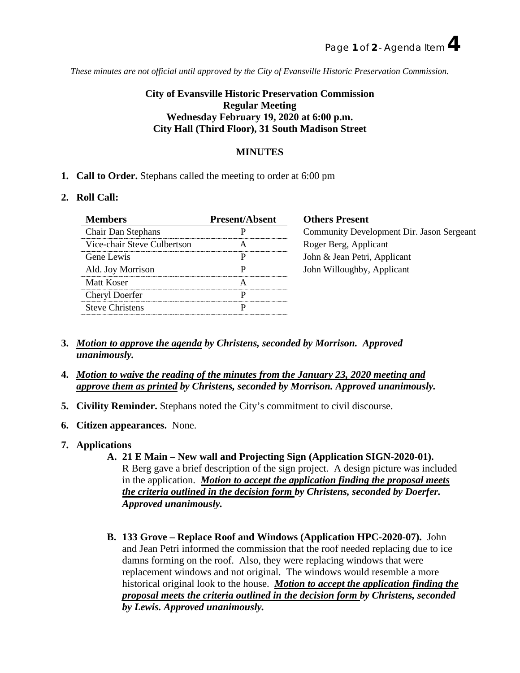*These minutes are not official until approved by the City of Evansville Historic Preservation Commission.*

## **City of Evansville Historic Preservation Commission Regular Meeting Wednesday February 19, 2020 at 6:00 p.m. City Hall (Third Floor), 31 South Madison Street**

## **MINUTES**

**1. Call to Order.** Stephans called the meeting to order at 6:00 pm

## **2. Roll Call:**

| Members                     | <b>Present/Absent</b> | <b>Others Present</b>                     |
|-----------------------------|-----------------------|-------------------------------------------|
| <b>Chair Dan Stephans</b>   |                       | Community Development Dir. Jason Sergeant |
| Vice-chair Steve Culbertson |                       | Roger Berg, Applicant                     |
| Gene Lewis                  |                       | John & Jean Petri, Applicant              |
| Ald. Joy Morrison           |                       | John Willoughby, Applicant                |
| Matt Koser                  |                       |                                           |
| Cheryl Doerfer              |                       |                                           |
| <b>Steve Christens</b>      |                       |                                           |

- **3.** *Motion to approve the agenda by Christens, seconded by Morrison. Approved unanimously.*
- **4.** *Motion to waive the reading of the minutes from the January 23, 2020 meeting and approve them as printed by Christens, seconded by Morrison. Approved unanimously.*
- **5. Civility Reminder.** Stephans noted the City's commitment to civil discourse.
- **6. Citizen appearances.** None.
- **7. Applications** 
	- **A. 21 E Main – New wall and Projecting Sign (Application SIGN-2020-01).** R Berg gave a brief description of the sign project. A design picture was included in the application. *Motion to accept the application finding the proposal meets the criteria outlined in the decision form by Christens, seconded by Doerfer. Approved unanimously.*
	- **B. 133 Grove – Replace Roof and Windows (Application HPC-2020-07).** John and Jean Petri informed the commission that the roof needed replacing due to ice damns forming on the roof. Also, they were replacing windows that were replacement windows and not original. The windows would resemble a more historical original look to the house. *Motion to accept the application finding the proposal meets the criteria outlined in the decision form by Christens, seconded by Lewis. Approved unanimously.*